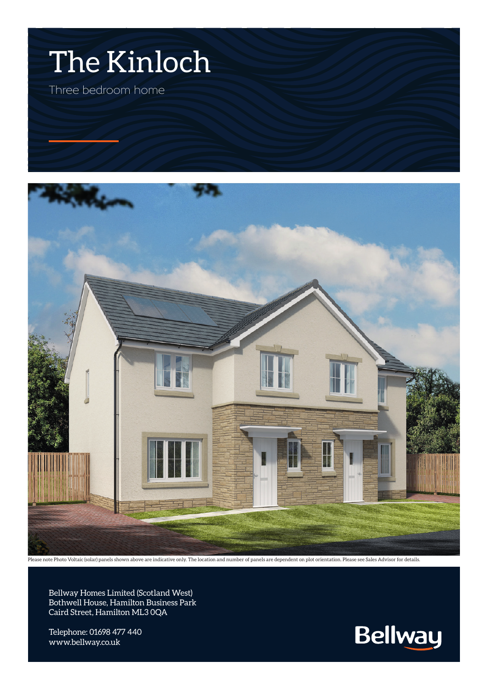



Please note Photo Voltaic (solar) panels shown above are indicative only. The location and number of panels are dependent on plot orientation. Please see Sales Advisor for details.

Bellway Homes Limited (Scotland West) Bothwell House, Hamilton Business Park Caird Street, Hamilton ML3 0QA

Telephone: 01698 477 440 www.bellway.co.uk